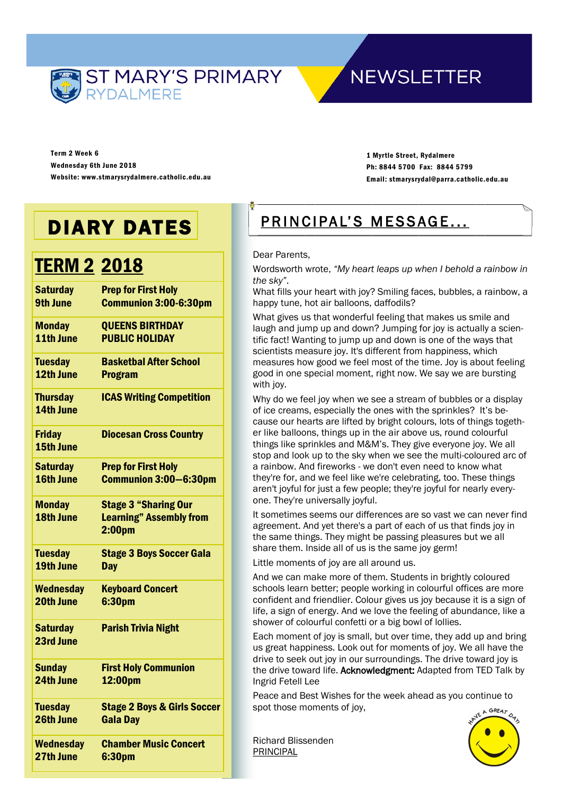

## **NEWSLETTER**

Term 2 Week 6 Wednesday 6th June 2018 Website: www.stmarysrydalmere.catholic.edu.au

1 Myrtle Street, Rydalmere Ph: 8844 5700 Fax: 8844 5799 Email: stmarysrydal@parra.catholic.edu.au

# DIARY DATES

# **TERM 2 2018**

| <b>Saturday</b>  | <b>Prep for First Holy</b>                           |
|------------------|------------------------------------------------------|
| <b>9th June</b>  | <b>Communion 3:00-6:30pm</b>                         |
| <b>Monday</b>    | <b>QUEENS BIRTHDAY</b>                               |
| 11th June        | <b>PUBLIC HOLIDAY</b>                                |
| <b>Tuesday</b>   | <b>Basketbal After School</b>                        |
| 12th June        | <b>Program</b>                                       |
| <b>Thursday</b>  | <b>ICAS Writing Competition</b>                      |
| 14th June        |                                                      |
| <b>Friday</b>    | <b>Diocesan Cross Country</b>                        |
| 15th June        |                                                      |
| <b>Saturday</b>  | <b>Prep for First Holy</b>                           |
| 16th June        | <b>Communion 3:00-6:30pm</b>                         |
| <b>Monday</b>    | <b>Stage 3 "Sharing Our</b>                          |
| 18th June        | <b>Learning" Assembly from</b><br>2:00 <sub>pm</sub> |
|                  |                                                      |
| <b>Tuesday</b>   | <b>Stage 3 Boys Soccer Gala</b>                      |
| 19th June        | <b>Day</b>                                           |
| <b>Wednesday</b> | <b>Keyboard Concert</b>                              |
| 20th June        | 6:30pm                                               |
| <b>Saturday</b>  | <b>Parish Trivia Night</b>                           |
| 23rd June        |                                                      |
| <b>Sunday</b>    | <b>First Holy Communion</b>                          |
| 24th June        | 12:00pm                                              |
| <b>Tuesday</b>   | <b>Stage 2 Boys &amp; Girls Soccer</b>               |
| 26th June        | <b>Gala Day</b>                                      |
| <b>Wednesday</b> | <b>Chamber Music Concert</b>                         |
| 27th June        | 6:30pm                                               |

## PRINCIPAL'S MESSAGE...

#### Dear Parents,

Wordsworth wrote, *"My heart leaps up when I behold a rainbow in the sky"*.

What fills your heart with joy? Smiling faces, bubbles, a rainbow, a happy tune, hot air balloons, daffodils?

What gives us that wonderful feeling that makes us smile and laugh and jump up and down? Jumping for joy is actually a scientific fact! Wanting to jump up and down is one of the ways that scientists measure joy. It's different from happiness, which measures how good we feel most of the time. Joy is about feeling good in one special moment, right now. We say we are bursting with joy.

Why do we feel joy when we see a stream of bubbles or a display of ice creams, especially the ones with the sprinkles? It's because our hearts are lifted by bright colours, lots of things together like balloons, things up in the air above us, round colourful things like sprinkles and M&M's. They give everyone joy. We all stop and look up to the sky when we see the multi-coloured arc of a rainbow. And fireworks - we don't even need to know what they're for, and we feel like we're celebrating, too. These things aren't joyful for just a few people; they're joyful for nearly everyone. They're universally joyful.

It sometimes seems our differences are so vast we can never find agreement. And yet there's a part of each of us that finds joy in the same things. They might be passing pleasures but we all share them. Inside all of us is the same joy germ!

Little moments of joy are all around us.

And we can make more of them. Students in brightly coloured schools learn better; people working in colourful offices are more confident and friendlier. Colour gives us joy because it is a sign of life, a sign of energy. And we love the feeling of abundance, like a shower of colourful confetti or a big bowl of lollies.

Each moment of joy is small, but over time, they add up and bring us great happiness. Look out for moments of joy. We all have the drive to seek out joy in our surroundings. The drive toward joy is the drive toward life. Acknowledgment: Adapted from TED Talk by Ingrid Fetell Lee

Peace and Best Wishes for the week ahead as you continue to spot those moments of joy, GREA-

Richard Blissenden PRINCIPAL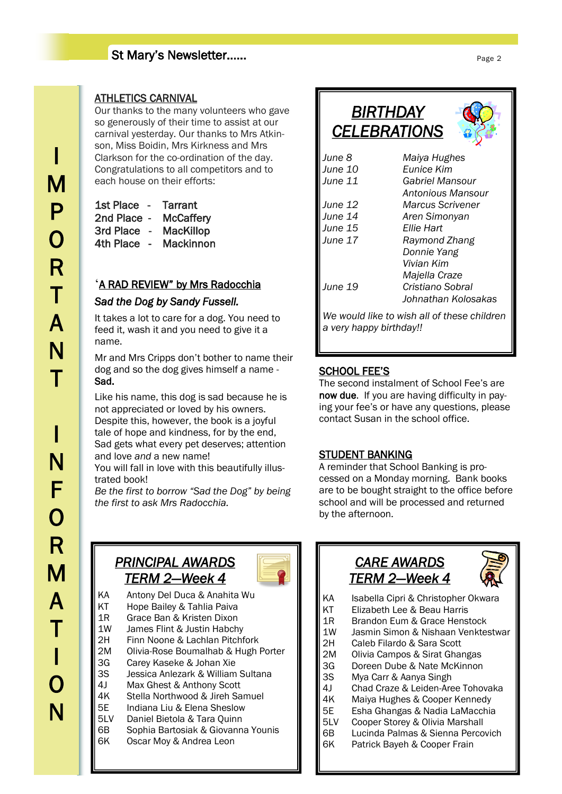## St Mary's Newsletter……

### ATHLETICS CARNIVAL

Our thanks to the many volunteers who gave so generously of their time to assist at our carnival yesterday. Our thanks to Mrs Atkinson, Miss Boidin, Mrs Kirkness and Mrs Clarkson for the co-ordination of the day. Congratulations to all competitors and to each house on their efforts:

| 1st Place        | Tarrant          |
|------------------|------------------|
| 2nd Place        | <b>McCaffery</b> |
| <b>3rd Place</b> | <b>MacKillop</b> |
| <b>4th Place</b> | Mackinnon        |

### 'A RAD REVIEW" by Mrs Radocchia

### *Sad the Dog by Sandy Fussell.*

It takes a lot to care for a dog. You need to feed it, wash it and you need to give it a name.

Mr and Mrs Cripps don't bother to name their dog and so the dog gives himself a name - Sad.

Like his name, this dog is sad because he is not appreciated or loved by his owners. Despite this, however, the book is a joyful tale of hope and kindness, for by the end, Sad gets what every pet deserves; attention and love *and* a new name!

You will fall in love with this beautifully illustrated book!

*Be the first to borrow "Sad the Dog" by being the first to ask Mrs Radocchia.*



| ΚA  | Antony Del Duca & Anahita Wu        |
|-----|-------------------------------------|
| ΚT  | Hope Bailey & Tahlia Paiva          |
| 1R  | Grace Ban & Kristen Dixon           |
| 1W  | James Flint & Justin Habchy         |
| 2Η  | Finn Noone & Lachlan Pitchfork      |
| 2M  | Olivia-Rose Boumalhab & Hugh Porter |
| 3G  | Carey Kaseke & Johan Xie            |
| 3S  | Jessica Anlezark & William Sultana  |
| 4 I | Max Ghest & Anthony Scott           |
| 4K  | Stella Northwood & Jireh Samuel     |
| 5Е  | Indiana Liu & Elena Sheslow         |
| 5LV | Daniel Bietola & Tara Quinn         |
| 6В  | Sophia Bartosiak & Giovanna Younis  |
| 6K  | Oscar Moy & Andrea Leon             |
|     |                                     |



| <i>BIRTHDAY</i>     |
|---------------------|
| <b>CELEBRATIONS</b> |



| June 8                  | Maiya Hughes                                |
|-------------------------|---------------------------------------------|
| June 10                 | Eunice Kim                                  |
| June 11                 | Gabriel Mansour                             |
|                         | Antonious Mansour                           |
| June 12                 | <b>Marcus Scrivener</b>                     |
| June 14                 | Aren Simonyan                               |
| June 15                 | Ellie Hart                                  |
| June 17                 | Raymond Zhang                               |
|                         | Donnie Yang                                 |
|                         | Vivian Kim                                  |
|                         | Majella Craze                               |
| June 19                 | Cristiano Sobral                            |
|                         | Johnathan Kolosakas                         |
|                         | We would like to wish all of these children |
| a very happy birthday!! |                                             |

### SCHOOL FEE'S

The second instalment of School Fee's are now due. If you are having difficulty in paying your fee's or have any questions, please contact Susan in the school office.

### STUDENT BANKING

A reminder that School Banking is processed on a Monday morning. Bank books are to be bought straight to the office before school and will be processed and returned by the afternoon.

## *CARE AWARDS TERM 2—Week 4*



- KA Isabella Cipri & Christopher Okwara
- KT Elizabeth Lee & Beau Harris
- 1R Brandon Eum & Grace Henstock
- 1W Jasmin Simon & Nishaan Venktestwar
- 2H Caleb Filardo & Sara Scott
- 2M Olivia Campos & Sirat Ghangas
- 3G Doreen Dube & Nate McKinnon
- 3S Mya Carr & Aanya Singh
- 4J Chad Craze & Leiden-Aree Tohovaka
- 4K Maiya Hughes & Cooper Kennedy
- 5E Esha Ghangas & Nadia LaMacchia
- 5LV Cooper Storey & Olivia Marshall
- 6B Lucinda Palmas & Sienna Percovich
- 6K Patrick Bayeh & Cooper Frain

I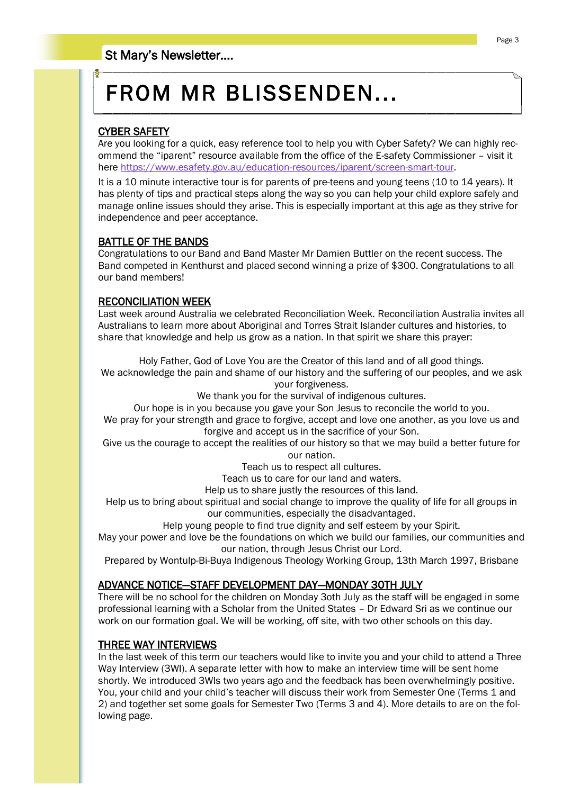# FROM MR BLISSENDEN...

### CYBER SAFETY

Are you looking for a quick, easy reference tool to help you with Cyber Safety? We can highly recommend the "iparent" resource available from the office of the E-safety Commissioner – visit it here [https://www.esafety.gov.au/education-resources/iparent/screen-smart-tour.](https://www.esafety.gov.au/education-resources/iparent/screen-smart-tour)

It is a 10 minute interactive tour is for parents of pre-teens and young teens (10 to 14 years). It has plenty of tips and practical steps along the way so you can help your child explore safely and manage online issues should they arise. This is especially important at this age as they strive for independence and peer acceptance.

### BATTLE OF THE BANDS

Congratulations to our Band and Band Master Mr Damien Buttler on the recent success. The Band competed in Kenthurst and placed second winning a prize of \$300. Congratulations to all our band members!

### RECONCILIATION WEEK

Last week around Australia we celebrated Reconciliation Week. Reconciliation Australia invites all Australians to learn more about Aboriginal and Torres Strait Islander cultures and histories, to share that knowledge and help us grow as a nation. In that spirit we share this prayer:

Holy Father, God of Love You are the Creator of this land and of all good things.

We acknowledge the pain and shame of our history and the suffering of our peoples, and we ask your forgiveness.

We thank you for the survival of indigenous cultures.

Our hope is in you because you gave your Son Jesus to reconcile the world to you. We pray for your strength and grace to forgive, accept and love one another, as you love us and forgive and accept us in the sacrifice of your Son.

Give us the courage to accept the realities of our history so that we may build a better future for our nation.

Teach us to respect all cultures.

Teach us to care for our land and waters.

Help us to share justly the resources of this land.

Help us to bring about spiritual and social change to improve the quality of life for all groups in our communities, especially the disadvantaged.

Help young people to find true dignity and self esteem by your Spirit.

May your power and love be the foundations on which we build our families, our communities and our nation, through Jesus Christ our Lord.

Prepared by Wontulp-Bi-Buya Indigenous Theology Working Group, 13th March 1997, Brisbane

### ADVANCE NOTICE—STAFF DEVELOPMENT DAY—MONDAY 30TH JULY

There will be no school for the children on Monday 3oth July as the staff will be engaged in some professional learning with a Scholar from the United States – Dr Edward Sri as we continue our work on our formation goal. We will be working, off site, with two other schools on this day.

### THREE WAY INTERVIEWS

In the last week of this term our teachers would like to invite you and your child to attend a Three Way Interview (3WI). A separate letter with how to make an interview time will be sent home shortly. We introduced 3WIs two years ago and the feedback has been overwhelmingly positive. You, your child and your child's teacher will discuss their work from Semester One (Terms 1 and 2) and together set some goals for Semester Two (Terms 3 and 4). More details to are on the following page.